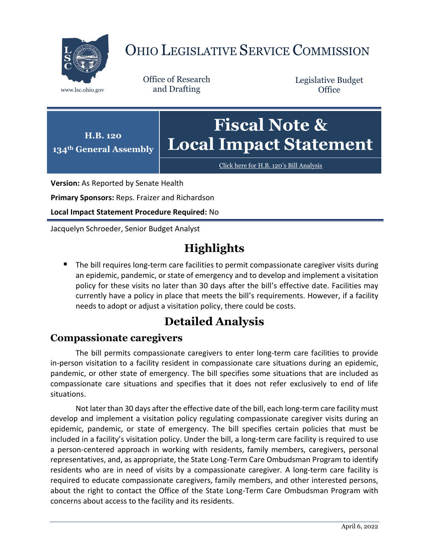

# OHIO LEGISLATIVE SERVICE COMMISSION

Office of Research www.lsc.ohio.gov and Drafting

Legislative Budget **Office** 



[Click here for H.B. 120](https://www.legislature.ohio.gov/legislation/legislation-documents?id=GA134-HB-120)'s Bill Analysis

**Version:** As Reported by Senate Health

**Primary Sponsors:** Reps. Fraizer and Richardson

**Local Impact Statement Procedure Required:** No

Jacquelyn Schroeder, Senior Budget Analyst

## **Highlights**

 The bill requires long-term care facilities to permit compassionate caregiver visits during an epidemic, pandemic, or state of emergency and to develop and implement a visitation policy for these visits no later than 30 days after the bill's effective date. Facilities may currently have a policy in place that meets the bill's requirements. However, if a facility needs to adopt or adjust a visitation policy, there could be costs.

## **Detailed Analysis**

### **Compassionate caregivers**

The bill permits compassionate caregivers to enter long-term care facilities to provide in-person visitation to a facility resident in compassionate care situations during an epidemic, pandemic, or other state of emergency. The bill specifies some situations that are included as compassionate care situations and specifies that it does not refer exclusively to end of life situations.

Not later than 30 days after the effective date of the bill, each long-term care facility must develop and implement a visitation policy regulating compassionate caregiver visits during an epidemic, pandemic, or state of emergency. The bill specifies certain policies that must be included in a facility's visitation policy. Under the bill, a long-term care facility is required to use a person-centered approach in working with residents, family members, caregivers, personal representatives, and, as appropriate, the State Long-Term Care Ombudsman Program to identify residents who are in need of visits by a compassionate caregiver. A long-term care facility is required to educate compassionate caregivers, family members, and other interested persons, about the right to contact the Office of the State Long-Term Care Ombudsman Program with concerns about access to the facility and its residents.